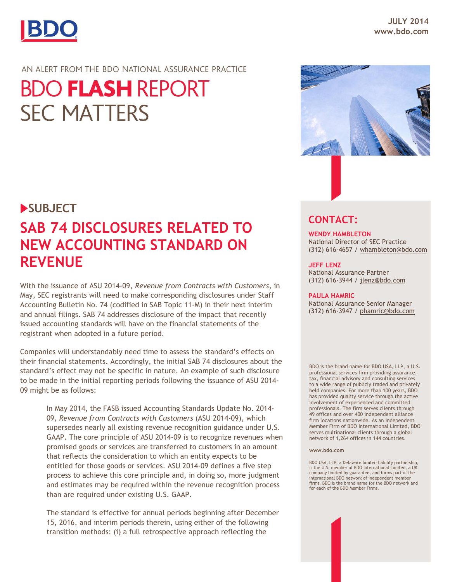

### AN ALERT FROM THE BDO NATIONAL ASSURANCE PRACTICE

# **BDO FLASH REPORT SEC MATTERS**

## **SUBJECT**

## **SAB 74 DISCLOSURES RELATED TO NEW ACCOUNTING STANDARD ON REVENUE**

With the issuance of ASU 2014-09, *Revenue from Contracts with Customers,* in May, SEC registrants will need to make corresponding disclosures under Staff Accounting Bulletin No. 74 (codified in SAB Topic 11-M) in their next interim and annual filings. SAB 74 addresses disclosure of the impact that recently issued accounting standards will have on the financial statements of the registrant when adopted in a future period.

Companies will understandably need time to assess the standard's effects on their financial statements. Accordingly, the initial SAB 74 disclosures about the standard's effect may not be specific in nature. An example of such disclosure to be made in the initial reporting periods following the issuance of ASU 2014- 09 might be as follows:

> In May 2014, the FASB issued Accounting Standards Update No. 2014- 09, *Revenue from Contracts with Customers* (ASU 2014-09), which supersedes nearly all existing revenue recognition guidance under U.S. GAAP. The core principle of ASU 2014-09 is to recognize revenues when promised goods or services are transferred to customers in an amount that reflects the consideration to which an entity expects to be entitled for those goods or services. ASU 2014-09 defines a five step process to achieve this core principle and, in doing so, more judgment and estimates may be required within the revenue recognition process than are required under existing U.S. GAAP.

The standard is effective for annual periods beginning after December 15, 2016, and interim periods therein, using either of the following transition methods: (i) a full retrospective approach reflecting the



## **CONTACT:**

**WENDY HAMBLETON** National Director of SEC Practice (312) 616-4657 / [whambleton@bdo.com](mailto:whambleton@bdo.com)

#### **JEFF LENZ**

National Assurance Partner (312) 616-3944 / [jlenz@bdo.com](mailto:jlenz@bdo.com)

#### **PAULA HAMRIC**

National Assurance Senior Manager (312) 616-3947 / [phamric@bdo.com](mailto:phamric@bdo.com)

BDO is the brand name for BDO USA, LLP, a U.S. professional services firm providing assurance, tax, financial advisory and consulting services to a wide range of publicly traded and privately held companies. For more than 100 years, BDO has provided quality service through the active involvement of experienced and committed professionals. The firm serves clients through 49 offices and over 400 independent alliance firm locations nationwide. As an independent Member Firm of BDO International Limited, BDO serves multinational clients through a global network of 1,264 offices in 144 countries.

#### **www.bdo.com**

BDO USA, LLP, a Delaware limited liability partnership, is the U.S. member of BDO International Limited, a UK company limited by guarantee, and forms part of the international BDO network of independent member firms. BDO is the brand name for the BDO network and for each of the BDO Member Firms.